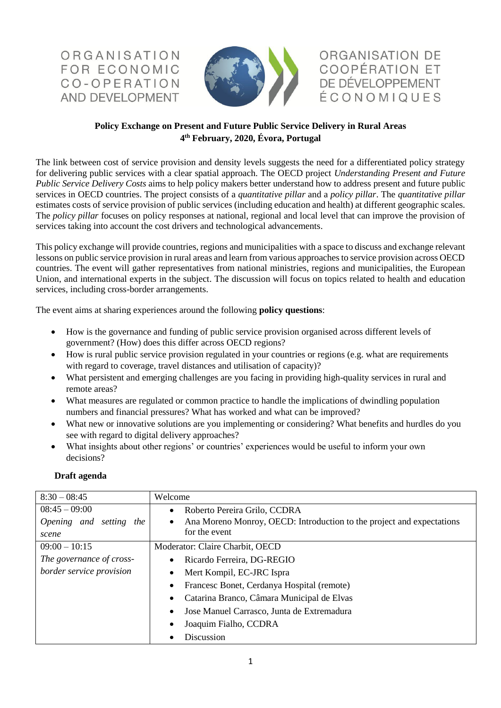ORGANISATION FOR ECONOMIC CO-OPERATION AND DEVELOPMENT



ORGANISATION DE **COOPÉRATION ET** DE DÉVELOPPEMENT<br>É C O N O M I Q U E S

## **Policy Exchange on Present and Future Public Service Delivery in Rural Areas 4 th February, 2020, Évora, Portugal**

The link between cost of service provision and density levels suggests the need for a differentiated policy strategy for delivering public services with a clear spatial approach. The OECD project *Understanding Present and Future Public Service Delivery Costs* aims to help policy makers better understand how to address present and future public services in OECD countries. The project consists of a *quantitative pillar* and a *policy pillar*. The *quantitative pillar* estimates costs of service provision of public services (including education and health) at different geographic scales. The *policy pillar* focuses on policy responses at national, regional and local level that can improve the provision of services taking into account the cost drivers and technological advancements.

This policy exchange will provide countries, regions and municipalities with a space to discuss and exchange relevant lessons on public service provision in rural areas and learn from various approaches to service provision across OECD countries. The event will gather representatives from national ministries, regions and municipalities, the European Union, and international experts in the subject. The discussion will focus on topics related to health and education services, including cross-border arrangements.

The event aims at sharing experiences around the following **policy questions**:

- How is the governance and funding of public service provision organised across different levels of government? (How) does this differ across OECD regions?
- How is rural public service provision regulated in your countries or regions (e.g. what are requirements with regard to coverage, travel distances and utilisation of capacity)?
- What persistent and emerging challenges are you facing in providing high-quality services in rural and remote areas?
- What measures are regulated or common practice to handle the implications of dwindling population numbers and financial pressures? What has worked and what can be improved?
- What new or innovative solutions are you implementing or considering? What benefits and hurdles do you see with regard to digital delivery approaches?
- What insights about other regions' or countries' experiences would be useful to inform your own decisions?

| $8:30 - 08:45$             | Welcome                                                               |
|----------------------------|-----------------------------------------------------------------------|
| $08:45 - 09:00$            | Roberto Pereira Grilo, CCDRA<br>$\bullet$                             |
| Opening and setting<br>the | Ana Moreno Monroy, OECD: Introduction to the project and expectations |
| scene                      | for the event                                                         |
| $09:00 - 10:15$            | Moderator: Claire Charbit, OECD                                       |
| The governance of cross-   | Ricardo Ferreira, DG-REGIO<br>$\bullet$                               |
| border service provision   | Mert Kompil, EC-JRC Ispra                                             |
|                            | Francesc Bonet, Cerdanya Hospital (remote)                            |
|                            | Catarina Branco, Câmara Municipal de Elvas                            |
|                            | Jose Manuel Carrasco, Junta de Extremadura<br>$\bullet$               |
|                            | Joaquim Fialho, CCDRA                                                 |
|                            | Discussion                                                            |

## **Draft agenda**